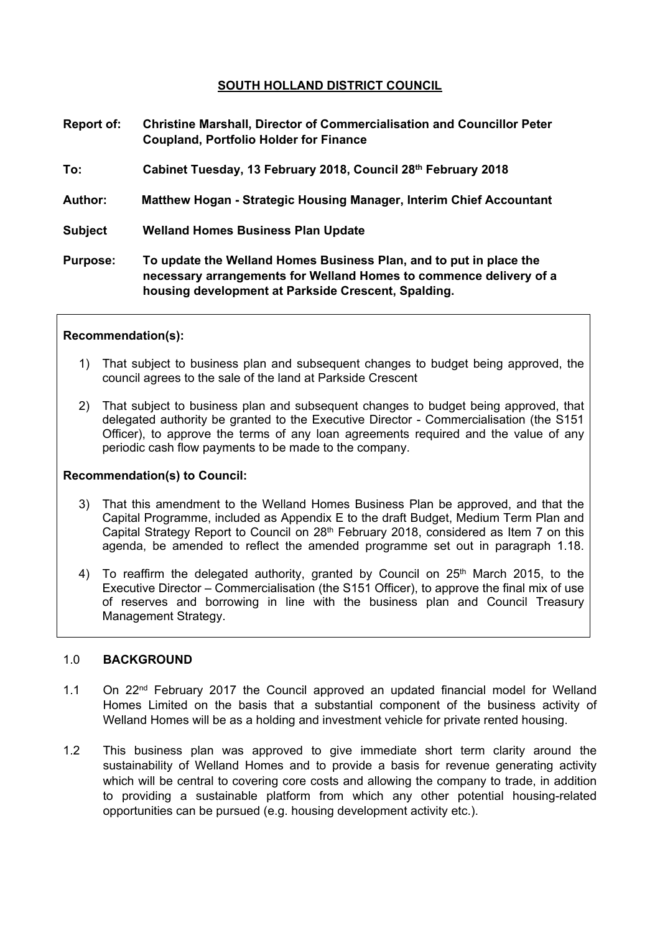## **SOUTH HOLLAND DISTRICT COUNCIL**

| <b>Report of:</b> | <b>Christine Marshall, Director of Commercialisation and Councillor Peter</b><br><b>Coupland, Portfolio Holder for Finance</b>                                                                  |
|-------------------|-------------------------------------------------------------------------------------------------------------------------------------------------------------------------------------------------|
| To:               | Cabinet Tuesday, 13 February 2018, Council 28th February 2018                                                                                                                                   |
| <b>Author:</b>    | Matthew Hogan - Strategic Housing Manager, Interim Chief Accountant                                                                                                                             |
| <b>Subject</b>    | <b>Welland Homes Business Plan Update</b>                                                                                                                                                       |
| <b>Purpose:</b>   | To update the Welland Homes Business Plan, and to put in place the<br>necessary arrangements for Welland Homes to commence delivery of a<br>housing development at Parkside Crescent, Spalding. |

#### **Recommendation(s):**

- 1) That subject to business plan and subsequent changes to budget being approved, the council agrees to the sale of the land at Parkside Crescent
- 2) That subject to business plan and subsequent changes to budget being approved, that delegated authority be granted to the Executive Director - Commercialisation (the S151 Officer), to approve the terms of any loan agreements required and the value of any periodic cash flow payments to be made to the company.

#### **Recommendation(s) to Council:**

- 3) That this amendment to the Welland Homes Business Plan be approved, and that the Capital Programme, included as Appendix E to the draft Budget, Medium Term Plan and Capital Strategy Report to Council on  $28<sup>th</sup>$  February 2018, considered as Item 7 on this agenda, be amended to reflect the amended programme set out in paragraph 1.18.
- 4) To reaffirm the delegated authority, granted by Council on 25<sup>th</sup> March 2015, to the Executive Director – Commercialisation (the S151 Officer), to approve the final mix of use of reserves and borrowing in line with the business plan and Council Treasury Management Strategy.

#### 1.0 **BACKGROUND**

- 1.1 On 22nd February 2017 the Council approved an updated financial model for Welland Homes Limited on the basis that a substantial component of the business activity of Welland Homes will be as a holding and investment vehicle for private rented housing.
- 1.2 This business plan was approved to give immediate short term clarity around the sustainability of Welland Homes and to provide a basis for revenue generating activity which will be central to covering core costs and allowing the company to trade, in addition to providing a sustainable platform from which any other potential housing-related opportunities can be pursued (e.g. housing development activity etc.).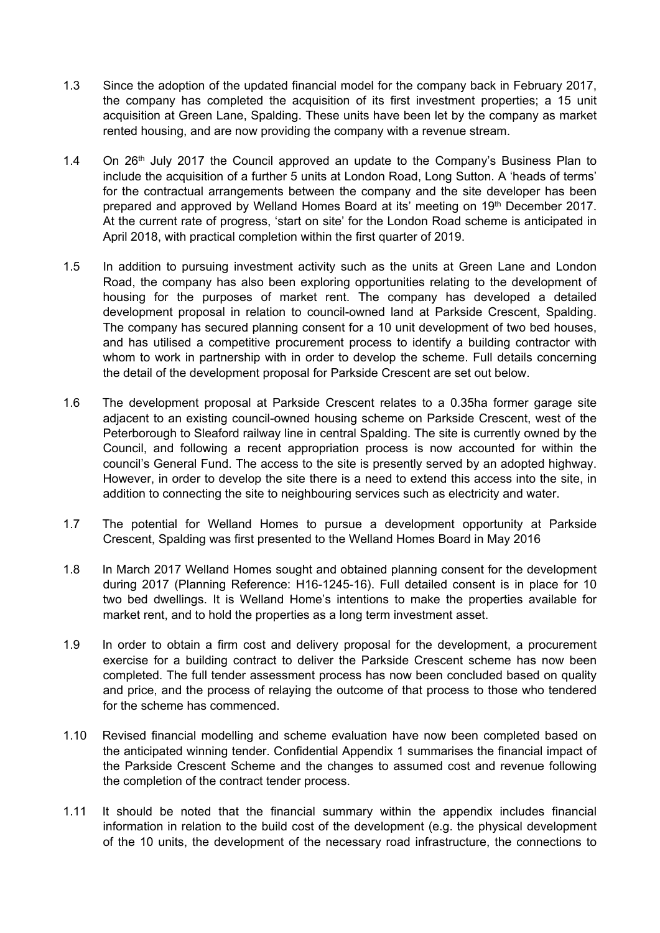- 1.3 Since the adoption of the updated financial model for the company back in February 2017, the company has completed the acquisition of its first investment properties; a 15 unit acquisition at Green Lane, Spalding. These units have been let by the company as market rented housing, and are now providing the company with a revenue stream.
- 1.4 On  $26<sup>th</sup>$  July 2017 the Council approved an update to the Company's Business Plan to include the acquisition of a further 5 units at London Road, Long Sutton. A 'heads of terms' for the contractual arrangements between the company and the site developer has been prepared and approved by Welland Homes Board at its' meeting on 19<sup>th</sup> December 2017. At the current rate of progress, 'start on site' for the London Road scheme is anticipated in April 2018, with practical completion within the first quarter of 2019.
- 1.5 In addition to pursuing investment activity such as the units at Green Lane and London Road, the company has also been exploring opportunities relating to the development of housing for the purposes of market rent. The company has developed a detailed development proposal in relation to council-owned land at Parkside Crescent, Spalding. The company has secured planning consent for a 10 unit development of two bed houses, and has utilised a competitive procurement process to identify a building contractor with whom to work in partnership with in order to develop the scheme. Full details concerning the detail of the development proposal for Parkside Crescent are set out below.
- 1.6 The development proposal at Parkside Crescent relates to a 0.35ha former garage site adjacent to an existing council-owned housing scheme on Parkside Crescent, west of the Peterborough to Sleaford railway line in central Spalding. The site is currently owned by the Council, and following a recent appropriation process is now accounted for within the council's General Fund. The access to the site is presently served by an adopted highway. However, in order to develop the site there is a need to extend this access into the site, in addition to connecting the site to neighbouring services such as electricity and water.
- 1.7 The potential for Welland Homes to pursue a development opportunity at Parkside Crescent, Spalding was first presented to the Welland Homes Board in May 2016
- 1.8 In March 2017 Welland Homes sought and obtained planning consent for the development during 2017 (Planning Reference: H16-1245-16). Full detailed consent is in place for 10 two bed dwellings. It is Welland Home's intentions to make the properties available for market rent, and to hold the properties as a long term investment asset.
- 1.9 In order to obtain a firm cost and delivery proposal for the development, a procurement exercise for a building contract to deliver the Parkside Crescent scheme has now been completed. The full tender assessment process has now been concluded based on quality and price, and the process of relaying the outcome of that process to those who tendered for the scheme has commenced.
- 1.10 Revised financial modelling and scheme evaluation have now been completed based on the anticipated winning tender. Confidential Appendix 1 summarises the financial impact of the Parkside Crescent Scheme and the changes to assumed cost and revenue following the completion of the contract tender process.
- 1.11 It should be noted that the financial summary within the appendix includes financial information in relation to the build cost of the development (e.g. the physical development of the 10 units, the development of the necessary road infrastructure, the connections to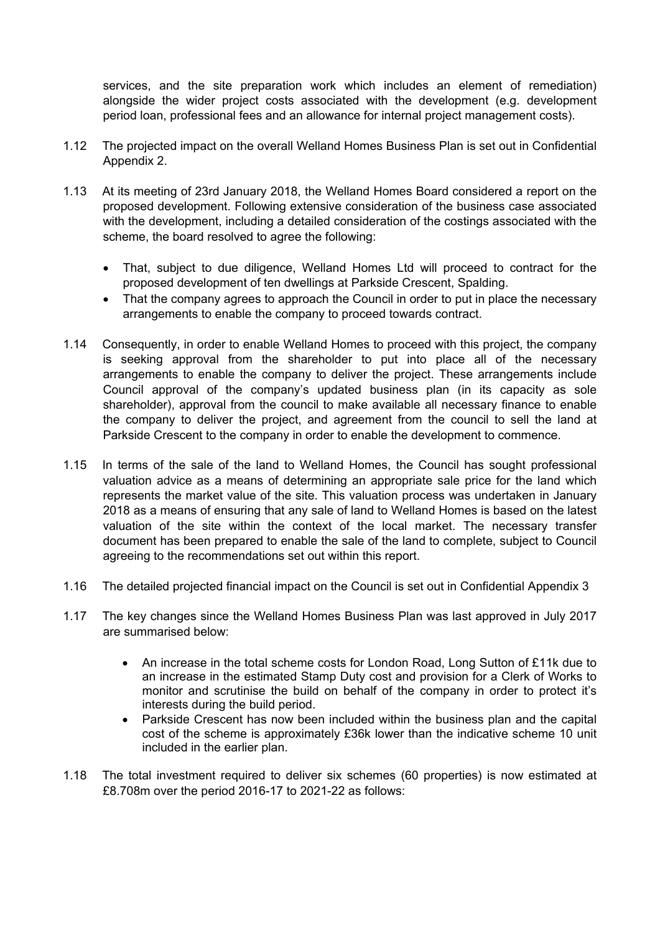services, and the site preparation work which includes an element of remediation) alongside the wider project costs associated with the development (e.g. development period loan, professional fees and an allowance for internal project management costs).

- 1.12 The projected impact on the overall Welland Homes Business Plan is set out in Confidential Appendix 2.
- 1.13 At its meeting of 23rd January 2018, the Welland Homes Board considered a report on the proposed development. Following extensive consideration of the business case associated with the development, including a detailed consideration of the costings associated with the scheme, the board resolved to agree the following:
	- That, subject to due diligence, Welland Homes Ltd will proceed to contract for the proposed development of ten dwellings at Parkside Crescent, Spalding.
	- That the company agrees to approach the Council in order to put in place the necessary arrangements to enable the company to proceed towards contract.
- 1.14 Consequently, in order to enable Welland Homes to proceed with this project, the company is seeking approval from the shareholder to put into place all of the necessary arrangements to enable the company to deliver the project. These arrangements include Council approval of the company's updated business plan (in its capacity as sole shareholder), approval from the council to make available all necessary finance to enable the company to deliver the project, and agreement from the council to sell the land at Parkside Crescent to the company in order to enable the development to commence.
- 1.15 In terms of the sale of the land to Welland Homes, the Council has sought professional valuation advice as a means of determining an appropriate sale price for the land which represents the market value of the site. This valuation process was undertaken in January 2018 as a means of ensuring that any sale of land to Welland Homes is based on the latest valuation of the site within the context of the local market. The necessary transfer document has been prepared to enable the sale of the land to complete, subject to Council agreeing to the recommendations set out within this report.
- 1.16 The detailed projected financial impact on the Council is set out in Confidential Appendix 3
- 1.17 The key changes since the Welland Homes Business Plan was last approved in July 2017 are summarised below:
	- An increase in the total scheme costs for London Road, Long Sutton of £11k due to an increase in the estimated Stamp Duty cost and provision for a Clerk of Works to monitor and scrutinise the build on behalf of the company in order to protect it's interests during the build period.
	- Parkside Crescent has now been included within the business plan and the capital cost of the scheme is approximately £36k lower than the indicative scheme 10 unit included in the earlier plan.
- 1.18 The total investment required to deliver six schemes (60 properties) is now estimated at £8.708m over the period 2016-17 to 2021-22 as follows: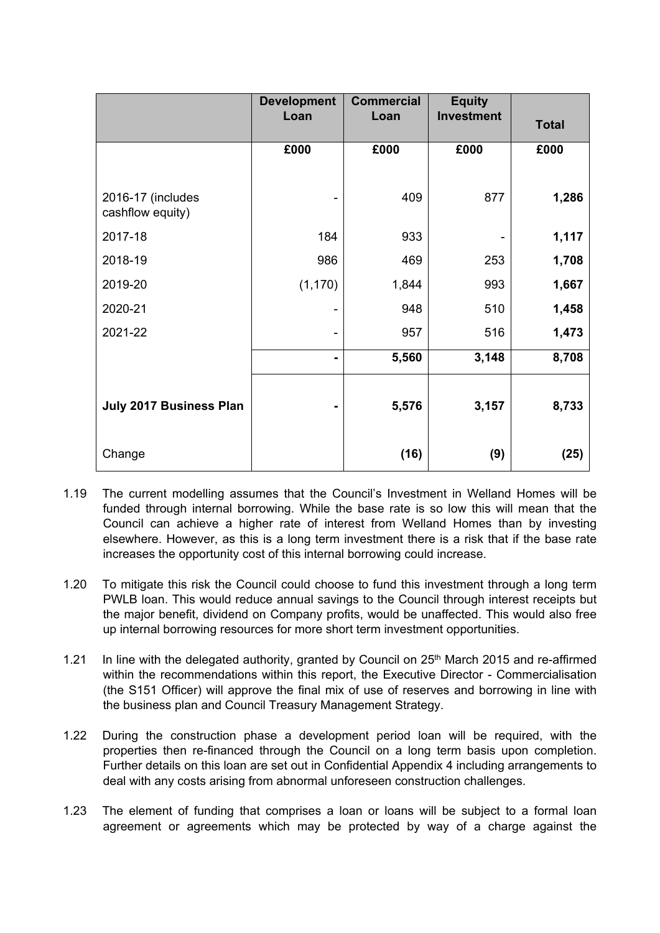|                                       | <b>Development</b>           | <b>Commercial</b> | <b>Equity</b>     |              |
|---------------------------------------|------------------------------|-------------------|-------------------|--------------|
|                                       | Loan                         | Loan              | <b>Investment</b> | <b>Total</b> |
|                                       | £000                         | £000              | £000              | £000         |
|                                       |                              |                   |                   |              |
| 2016-17 (includes<br>cashflow equity) |                              | 409               | 877               | 1,286        |
| 2017-18                               | 184                          | 933               |                   | 1,117        |
| 2018-19                               | 986                          | 469               | 253               | 1,708        |
| 2019-20                               | (1, 170)                     | 1,844             | 993               | 1,667        |
| 2020-21                               |                              | 948               | 510               | 1,458        |
| 2021-22                               | -                            | 957               | 516               | 1,473        |
|                                       | $\qquad \qquad \blacksquare$ | 5,560             | 3,148             | 8,708        |
|                                       |                              |                   |                   |              |
| July 2017 Business Plan               |                              | 5,576             | 3,157             | 8,733        |
|                                       |                              |                   |                   |              |
| Change                                |                              | (16)              | (9)               | (25)         |

- 1.19 The current modelling assumes that the Council's Investment in Welland Homes will be funded through internal borrowing. While the base rate is so low this will mean that the Council can achieve a higher rate of interest from Welland Homes than by investing elsewhere. However, as this is a long term investment there is a risk that if the base rate increases the opportunity cost of this internal borrowing could increase.
- 1.20 To mitigate this risk the Council could choose to fund this investment through a long term PWLB loan. This would reduce annual savings to the Council through interest receipts but the major benefit, dividend on Company profits, would be unaffected. This would also free up internal borrowing resources for more short term investment opportunities.
- 1.21 In line with the delegated authority, granted by Council on 25<sup>th</sup> March 2015 and re-affirmed within the recommendations within this report, the Executive Director - Commercialisation (the S151 Officer) will approve the final mix of use of reserves and borrowing in line with the business plan and Council Treasury Management Strategy.
- 1.22 During the construction phase a development period loan will be required, with the properties then re-financed through the Council on a long term basis upon completion. Further details on this loan are set out in Confidential Appendix 4 including arrangements to deal with any costs arising from abnormal unforeseen construction challenges.
- 1.23 The element of funding that comprises a loan or loans will be subject to a formal loan agreement or agreements which may be protected by way of a charge against the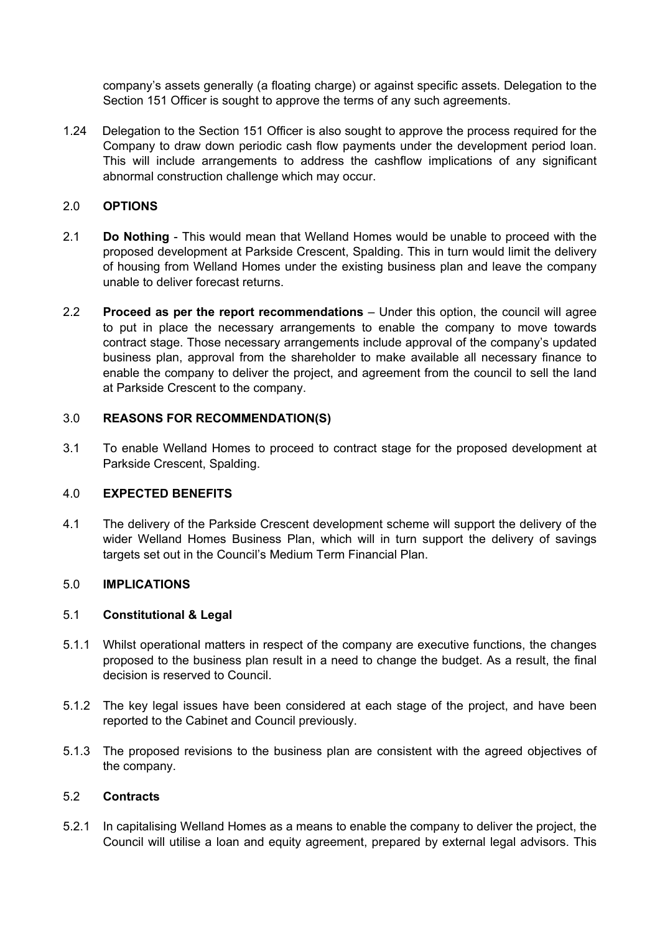company's assets generally (a floating charge) or against specific assets. Delegation to the Section 151 Officer is sought to approve the terms of any such agreements.

1.24 Delegation to the Section 151 Officer is also sought to approve the process required for the Company to draw down periodic cash flow payments under the development period loan. This will include arrangements to address the cashflow implications of any significant abnormal construction challenge which may occur.

#### 2.0 **OPTIONS**

- 2.1 **Do Nothing** This would mean that Welland Homes would be unable to proceed with the proposed development at Parkside Crescent, Spalding. This in turn would limit the delivery of housing from Welland Homes under the existing business plan and leave the company unable to deliver forecast returns.
- 2.2 **Proceed as per the report recommendations** Under this option, the council will agree to put in place the necessary arrangements to enable the company to move towards contract stage. Those necessary arrangements include approval of the company's updated business plan, approval from the shareholder to make available all necessary finance to enable the company to deliver the project, and agreement from the council to sell the land at Parkside Crescent to the company.

#### 3.0 **REASONS FOR RECOMMENDATION(S)**

3.1 To enable Welland Homes to proceed to contract stage for the proposed development at Parkside Crescent, Spalding.

#### 4.0 **EXPECTED BENEFITS**

4.1 The delivery of the Parkside Crescent development scheme will support the delivery of the wider Welland Homes Business Plan, which will in turn support the delivery of savings targets set out in the Council's Medium Term Financial Plan.

#### 5.0 **IMPLICATIONS**

## 5.1 **Constitutional & Legal**

- 5.1.1 Whilst operational matters in respect of the company are executive functions, the changes proposed to the business plan result in a need to change the budget. As a result, the final decision is reserved to Council.
- 5.1.2 The key legal issues have been considered at each stage of the project, and have been reported to the Cabinet and Council previously.
- 5.1.3 The proposed revisions to the business plan are consistent with the agreed objectives of the company.

## 5.2 **Contracts**

5.2.1 In capitalising Welland Homes as a means to enable the company to deliver the project, the Council will utilise a loan and equity agreement, prepared by external legal advisors. This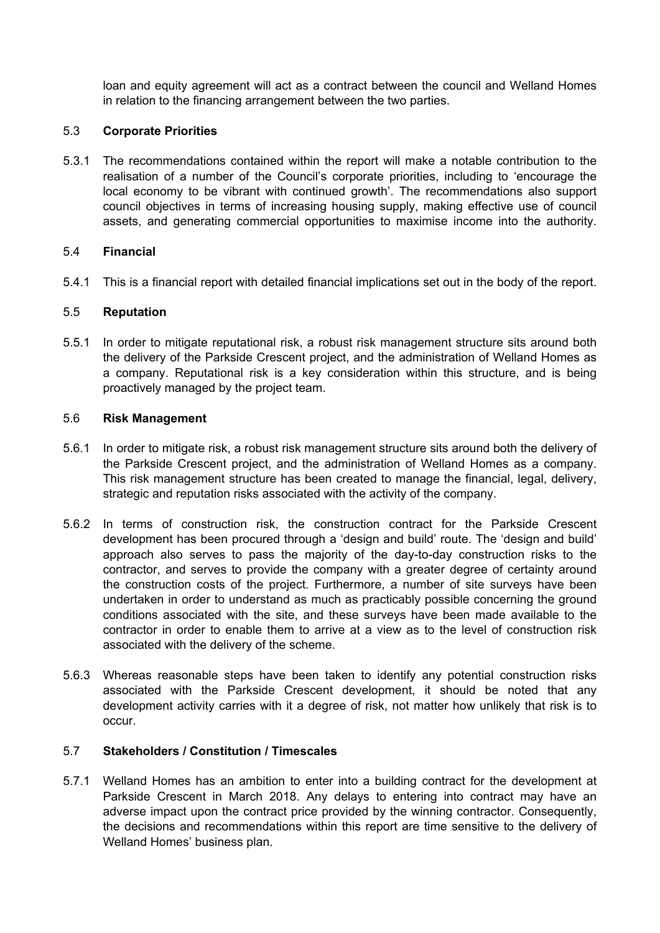loan and equity agreement will act as a contract between the council and Welland Homes in relation to the financing arrangement between the two parties.

## 5.3 **Corporate Priorities**

5.3.1 The recommendations contained within the report will make a notable contribution to the realisation of a number of the Council's corporate priorities, including to 'encourage the local economy to be vibrant with continued growth'. The recommendations also support council objectives in terms of increasing housing supply, making effective use of council assets, and generating commercial opportunities to maximise income into the authority.

## 5.4 **Financial**

5.4.1 This is a financial report with detailed financial implications set out in the body of the report.

## 5.5 **Reputation**

5.5.1 In order to mitigate reputational risk, a robust risk management structure sits around both the delivery of the Parkside Crescent project, and the administration of Welland Homes as a company. Reputational risk is a key consideration within this structure, and is being proactively managed by the project team.

#### 5.6 **Risk Management**

- 5.6.1 In order to mitigate risk, a robust risk management structure sits around both the delivery of the Parkside Crescent project, and the administration of Welland Homes as a company. This risk management structure has been created to manage the financial, legal, delivery, strategic and reputation risks associated with the activity of the company.
- 5.6.2 In terms of construction risk, the construction contract for the Parkside Crescent development has been procured through a 'design and build' route. The 'design and build' approach also serves to pass the majority of the day-to-day construction risks to the contractor, and serves to provide the company with a greater degree of certainty around the construction costs of the project. Furthermore, a number of site surveys have been undertaken in order to understand as much as practicably possible concerning the ground conditions associated with the site, and these surveys have been made available to the contractor in order to enable them to arrive at a view as to the level of construction risk associated with the delivery of the scheme.
- 5.6.3 Whereas reasonable steps have been taken to identify any potential construction risks associated with the Parkside Crescent development, it should be noted that any development activity carries with it a degree of risk, not matter how unlikely that risk is to occur.

# 5.7 **Stakeholders / Constitution / Timescales**

5.7.1 Welland Homes has an ambition to enter into a building contract for the development at Parkside Crescent in March 2018. Any delays to entering into contract may have an adverse impact upon the contract price provided by the winning contractor. Consequently, the decisions and recommendations within this report are time sensitive to the delivery of Welland Homes' business plan.